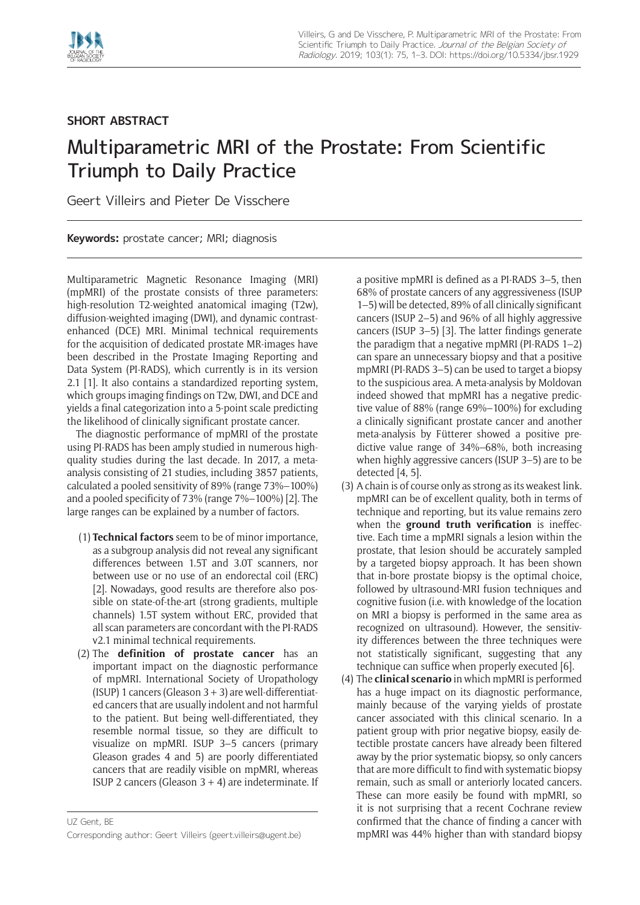

## **SHORT ABSTRACT**

## Multiparametric MRI of the Prostate: From Scientific Triumph to Daily Practice

Geert Villeirs and Pieter De Visschere

**Keywords:** prostate cancer; MRI; diagnosis

Multiparametric Magnetic Resonance Imaging (MRI) (mpMRI) of the prostate consists of three parameters: high-resolution T2-weighted anatomical imaging (T2w), diffusion-weighted imaging (DWI), and dynamic contrastenhanced (DCE) MRI. Minimal technical requirements for the acquisition of dedicated prostate MR-images have been described in the Prostate Imaging Reporting and Data System (PI-RADS), which currently is in its version 2.1 [1]. It also contains a standardized reporting system, which groups imaging findings on T2w, DWI, and DCE and yields a final categorization into a 5-point scale predicting the likelihood of clinically significant prostate cancer.

The diagnostic performance of mpMRI of the prostate using PI-RADS has been amply studied in numerous highquality studies during the last decade. In 2017, a metaanalysis consisting of 21 studies, including 3857 patients, calculated a pooled sensitivity of 89% (range 73%–100%) and a pooled specificity of 73% (range 7%–100%) [2]. The large ranges can be explained by a number of factors.

- (1) **Technical factors** seem to be of minor importance, as a subgroup analysis did not reveal any significant differences between 1.5T and 3.0T scanners, nor between use or no use of an endorectal coil (ERC) [2]. Nowadays, good results are therefore also possible on state-of-the-art (strong gradients, multiple channels) 1.5T system without ERC, provided that all scan parameters are concordant with the PI-RADS v2.1 minimal technical requirements.
- (2) The **definition of prostate cancer** has an important impact on the diagnostic performance of mpMRI. International Society of Uropathology (ISUP) 1 cancers (Gleason  $3 + 3$ ) are well-differentiated cancers that are usually indolent and not harmful to the patient. But being well-differentiated, they resemble normal tissue, so they are difficult to visualize on mpMRI. ISUP 3–5 cancers (primary Gleason grades 4 and 5) are poorly differentiated cancers that are readily visible on mpMRI, whereas ISUP 2 cancers (Gleason  $3 + 4$ ) are indeterminate. If

a positive mpMRI is defined as a PI-RADS 3–5, then 68% of prostate cancers of any aggressiveness (ISUP 1–5) will be detected, 89% of all clinically significant cancers (ISUP 2–5) and 96% of all highly aggressive cancers (ISUP 3–5) [3]. The latter findings generate the paradigm that a negative mpMRI (PI-RADS 1–2) can spare an unnecessary biopsy and that a positive mpMRI (PI-RADS 3–5) can be used to target a biopsy to the suspicious area. A meta-analysis by Moldovan indeed showed that mpMRI has a negative predictive value of 88% (range 69%–100%) for excluding a clinically significant prostate cancer and another meta-analysis by Fütterer showed a positive predictive value range of 34%–68%, both increasing when highly aggressive cancers (ISUP 3–5) are to be detected [4, 5].

- (3) A chain is of course only as strong as its weakest link. mpMRI can be of excellent quality, both in terms of technique and reporting, but its value remains zero when the **ground truth verification** is ineffective. Each time a mpMRI signals a lesion within the prostate, that lesion should be accurately sampled by a targeted biopsy approach. It has been shown that in-bore prostate biopsy is the optimal choice, followed by ultrasound-MRI fusion techniques and cognitive fusion (i.e. with knowledge of the location on MRI a biopsy is performed in the same area as recognized on ultrasound). However, the sensitivity differences between the three techniques were not statistically significant, suggesting that any technique can suffice when properly executed [6].
- (4) The **clinical scenario** in which mpMRI is performed has a huge impact on its diagnostic performance, mainly because of the varying yields of prostate cancer associated with this clinical scenario. In a patient group with prior negative biopsy, easily detectible prostate cancers have already been filtered away by the prior systematic biopsy, so only cancers that are more difficult to find with systematic biopsy remain, such as small or anteriorly located cancers. These can more easily be found with mpMRI, so it is not surprising that a recent Cochrane review confirmed that the chance of finding a cancer with mpMRI was 44% higher than with standard biopsy

UZ Gent, BE Corresponding author: Geert Villeirs [\(geert.villeirs@ugent.be](mailto:geert.villeirs@ugent.be))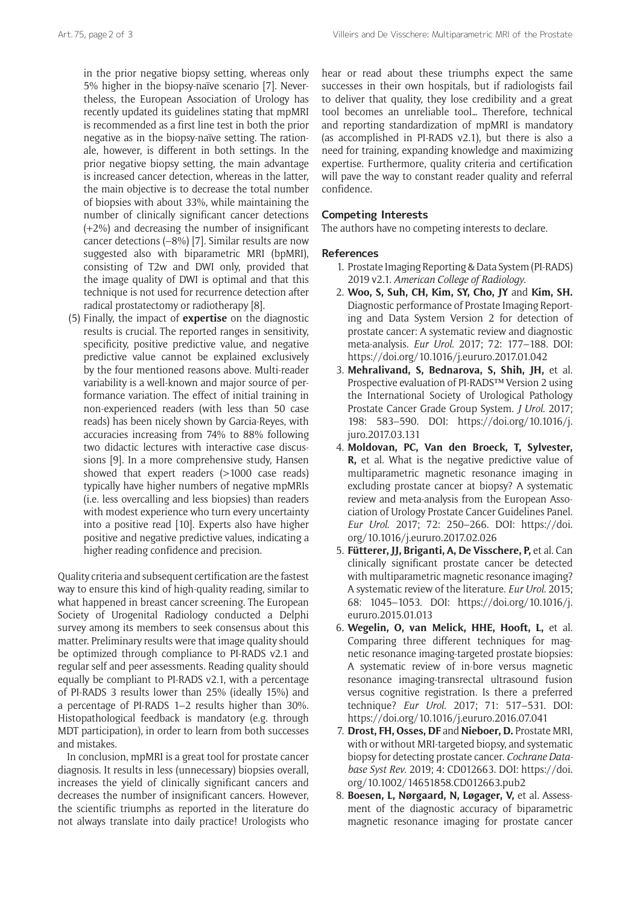in the prior negative biopsy setting, whereas only 5% higher in the biopsy-naïve scenario [7]. Nevertheless, the European Association of Urology has recently updated its guidelines stating that mpMRI is recommended as a first line test in both the prior negative as in the biopsy-naïve setting. The rationale, however, is different in both settings. In the prior negative biopsy setting, the main advantage is increased cancer detection, whereas in the latter, the main objective is to decrease the total number of biopsies with about 33%, while maintaining the number of clinically significant cancer detections (+2%) and decreasing the number of insignificant cancer detections (–8%) [7]. Similar results are now suggested also with biparametric MRI (bpMRI), consisting of T2w and DWI only, provided that the image quality of DWI is optimal and that this technique is not used for recurrence detection after radical prostatectomy or radiotherapy [8].

(5) Finally, the impact of **expertise** on the diagnostic results is crucial. The reported ranges in sensitivity, specificity, positive predictive value, and negative predictive value cannot be explained exclusively by the four mentioned reasons above. Multi-reader variability is a well-known and major source of performance variation. The effect of initial training in non-experienced readers (with less than 50 case reads) has been nicely shown by Garcia-Reyes, with accuracies increasing from 74% to 88% following two didactic lectures with interactive case discussions [9]. In a more comprehensive study, Hansen showed that expert readers (>1000 case reads) typically have higher numbers of negative mpMRIs (i.e. less overcalling and less biopsies) than readers with modest experience who turn every uncertainty into a positive read [10]. Experts also have higher positive and negative predictive values, indicating a higher reading confidence and precision.

Quality criteria and subsequent certification are the fastest way to ensure this kind of high-quality reading, similar to what happened in breast cancer screening. The European Society of Urogenital Radiology conducted a Delphi survey among its members to seek consensus about this matter. Preliminary results were that image quality should be optimized through compliance to PI-RADS v2.1 and regular self and peer assessments. Reading quality should equally be compliant to PI-RADS v2.1, with a percentage of PI-RADS 3 results lower than 25% (ideally 15%) and a percentage of PI-RADS 1–2 results higher than 30%. Histopathological feedback is mandatory (e.g. through MDT participation), in order to learn from both successes and mistakes.

In conclusion, mpMRI is a great tool for prostate cancer diagnosis. It results in less (unnecessary) biopsies overall, increases the yield of clinically significant cancers and decreases the number of insignificant cancers. However, the scientific triumphs as reported in the literature do not always translate into daily practice! Urologists who

hear or read about these triumphs expect the same successes in their own hospitals, but if radiologists fail to deliver that quality, they lose credibility and a great tool becomes an unreliable tool… Therefore, technical and reporting standardization of mpMRI is mandatory (as accomplished in PI-RADS v2.1), but there is also a need for training, expanding knowledge and maximizing expertise. Furthermore, quality criteria and certification will pave the way to constant reader quality and referral confidence.

## **Competing Interests**

The authors have no competing interests to declare.

## **References**

- 1. Prostate Imaging Reporting & Data System (PI-RADS) 2019 v2.1. *American College of Radiology*.
- 2. **Woo, S, Suh, CH, Kim, SY, Cho, JY** and **Kim, SH.** Diagnostic performance of Prostate Imaging Reporting and Data System Version 2 for detection of prostate cancer: A systematic review and diagnostic meta-analysis. *Eur Urol*. 2017; 72: 177–188. DOI: <https://doi.org/10.1016/j.eururo.2017.01.042>
- 3. **Mehralivand, S, Bednarova, S, Shih, JH,** et al. Prospective evaluation of PI-RADS™ Version 2 using the International Society of Urological Pathology Prostate Cancer Grade Group System. *J Urol*. 2017; 198: 583–590. DOI: [https://doi.org/10.1016/j.](https://doi.org/10.1016/j.juro.2017.03.131) [juro.2017.03.131](https://doi.org/10.1016/j.juro.2017.03.131)
- 4. **Moldovan, PC, Van den Broeck, T, Sylvester, R,** et al. What is the negative predictive value of multiparametric magnetic resonance imaging in excluding prostate cancer at biopsy? A systematic review and meta-analysis from the European Association of Urology Prostate Cancer Guidelines Panel. *Eur Urol*. 2017; 72: 250–266. DOI: [https://doi.](https://doi.org/10.1016/j.eururo.2017.02.026) [org/10.1016/j.eururo.2017.02.026](https://doi.org/10.1016/j.eururo.2017.02.026)
- 5. **Fütterer, JJ, Briganti, A, De Visschere, P,** et al. Can clinically significant prostate cancer be detected with multiparametric magnetic resonance imaging? A systematic review of the literature. *Eur Urol*. 2015; 68: 1045–1053. DOI: [https://doi.org/10.1016/j.](https://doi.org/10.1016/j.eururo.2015.01.013) [eururo.2015.01.013](https://doi.org/10.1016/j.eururo.2015.01.013)
- 6. **Wegelin, O, van Melick, HHE, Hooft, L,** et al. Comparing three different techniques for magnetic resonance imaging-targeted prostate biopsies: A systematic review of in-bore versus magnetic resonance imaging-transrectal ultrasound fusion versus cognitive registration. Is there a preferred technique? *Eur Urol*. 2017; 71: 517–531. DOI: <https://doi.org/10.1016/j.eururo.2016.07.041>
- 7. **Drost, FH, Osses, DF** and **Nieboer, D.** Prostate MRI, with or without MRI-targeted biopsy, and systematic biopsy for detecting prostate cancer. *Cochrane Database Syst Rev*. 2019; 4: CD012663. DOI: [https://doi.](https://doi.org/10.1002/14651858.CD012663.pub2) [org/10.1002/14651858.CD012663.pub2](https://doi.org/10.1002/14651858.CD012663.pub2)
- 8. **Boesen, L, Nørgaard, N, Løgager, V,** et al. Assessment of the diagnostic accuracy of biparametric magnetic resonance imaging for prostate cancer